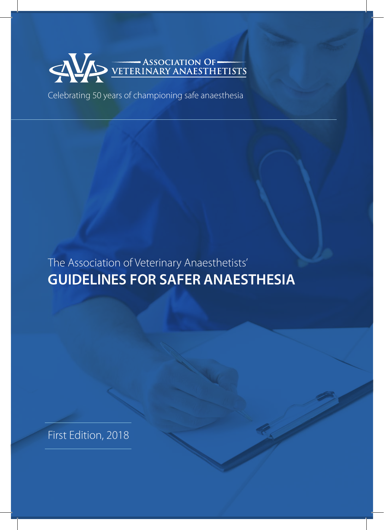

Celebrating 50 years of championing safe anaesthesia

**GUIDELINES FOR SAFER ANAESTHESIA** The Association of Veterinary Anaesthetists'

First Edition, 2018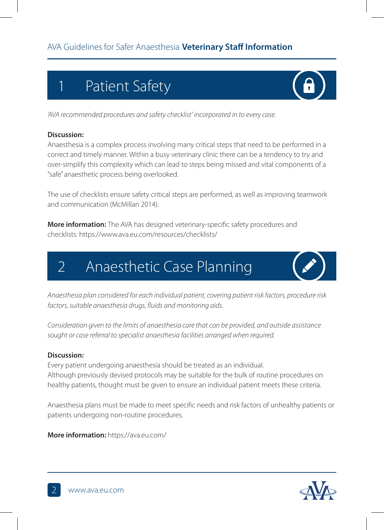# 1 Patient Safety

*'AVA recommended procedures and safety checklist' incorporated in to every case.*

#### **Discussion:**

Anaesthesia is a complex process involving many critical steps that need to be performed in a correct and timely manner. Within a busy veterinary clinic there can be a tendency to try and over-simplify this complexity which can lead to steps being missed and vital components of a "safe" anaesthetic process being overlooked.

The use of checklists ensure safety critical steps are performed, as well as improving teamwork and communication (McMillan 2014).

**More information:** The AVA has designed veterinary-specific safety procedures and checklists: https://www.ava.eu.com/resources/checklists/

### 2 Anaesthetic Case Planning

*Anaesthesia plan considered for each individual patient, covering patient risk factors, procedure risk factors, suitable anaesthesia drugs, fluids and monitoring aids.*

*Consideration given to the limits of anaesthesia care that can be provided, and outside assistance sought or case referral to specialist anaesthesia facilities arranged when required.* 

#### **Discussion:**

Every patient undergoing anaesthesia should be treated as an individual. Although previously devised protocols may be suitable for the bulk of routine procedures on healthy patients, thought must be given to ensure an individual patient meets these criteria.

Anaesthesia plans must be made to meet specific needs and risk factors of unhealthy patients or patients undergoing non-routine procedures.

**More information:** https://ava.eu.com/





 $\left( \mathbf{a} \right)$ 

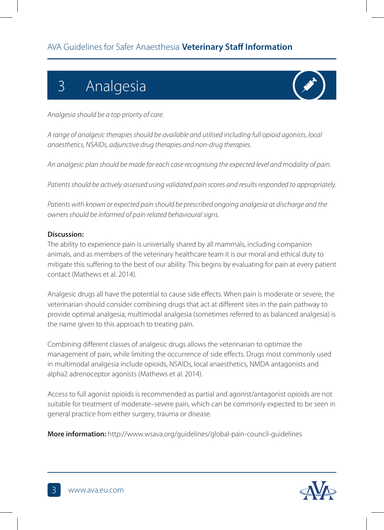# 3 Analgesia

*Analgesia should be a top priority of care.* 

*A range of analgesic therapies should be available and utilised including full opioid agonists, local anaesthetics, NSAIDs, adjunctive drug therapies and non-drug therapies.* 

*An analgesic plan should be made for each case recognising the expected level and modality of pain.*

*Patients should be actively assessed using validated pain scores and results responded to appropriately.* 

*Patients with known or expected pain should be prescribed ongoing analgesia at discharge and the owners should be informed of pain related behavioural signs.* 

#### **Discussion:**

The ability to experience pain is universally shared by all mammals, including companion animals, and as members of the veterinary healthcare team it is our moral and ethical duty to mitigate this suffering to the best of our ability. This begins by evaluating for pain at every patient contact (Mathews et al. 2014).

Analgesic drugs all have the potential to cause side effects. When pain is moderate or severe, the veterinarian should consider combining drugs that act at different sites in the pain pathway to provide optimal analgesia; multimodal analgesia (sometimes referred to as balanced analgesia) is the name given to this approach to treating pain.

Combining different classes of analgesic drugs allows the veterinarian to optimize the management of pain, while limiting the occurrence of side effects. Drugs most commonly used in multimodal analgesia include opioids, NSAIDs, local anaesthetics, NMDA antagonists and alpha2 adrenoceptor agonists (Mathews et al. 2014).

Access to full agonist opioids is recommended as partial and agonist/antagonist opioids are not suitable for treatment of moderate–severe pain, which can be commonly expected to be seen in general practice from either surgery, trauma or disease.

**More information:** http://www.wsava.org/guidelines/global-pain-council-guidelines

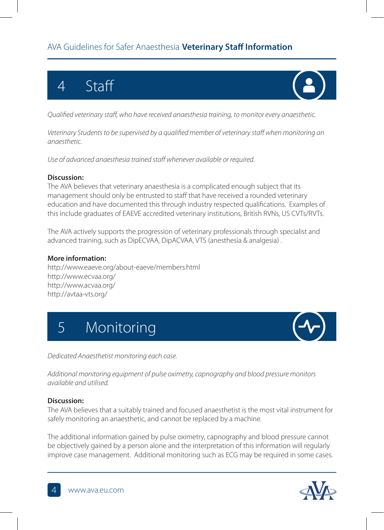### AVA Guidelines for Safer Anaesthesia **Veterinary Staff Information**

# 4 Staff



*Qualified veterinary staff, who have received anaesthesia training, to monitor every anaesthetic.*

*Veterinary Students to be supervised by a qualified member of veterinary staff when monitoring an anaesthetic.*

*Use of advanced anaesthesia trained staff whenever available or required.*

#### **Discussion:**

The AVA believes that veterinary anaesthesia is a complicated enough subject that its management should only be entrusted to staff that have received a rounded veterinary education and have documented this through industry respected qualifications. Examples of this include graduates of EAEVE accredited veterinary institutions, British RVNs, US CVTs/RVTs.

The AVA actively supports the progression of veterinary professionals through specialist and advanced training, such as DipECVAA, DipACVAA, VTS (anesthesia & analgesia) .

#### **More information:**

http://www.eaeve.org/about-eaeve/members.html http://www.ecvaa.org/ http://www.acvaa.org/ http://avtaa-vts.org/





*Dedicated Anaesthetist monitoring each case.* 

*Additional monitoring equipment of pulse oximetry, capnography and blood pressure monitors available and utilised.*

#### **Discussion:**

The AVA believes that a suitably trained and focused anaesthetist is the most vital instrument for safely monitoring an anaesthetic, and cannot be replaced by a machine.

The additional information gained by pulse oximetry, capnography and blood pressure cannot be objectively gained by a person alone and the interpretation of this information will regularly improve case management. Additional monitoring such as ECG may be required in some cases.

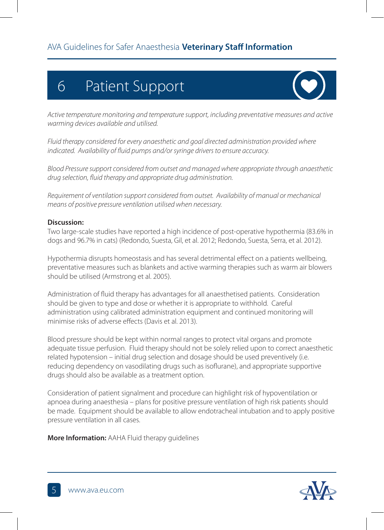# 6 Patient Support



*Active temperature monitoring and temperature support, including preventative measures and active warming devices available and utilised.*

*Fluid therapy considered for every anaesthetic and goal directed administration provided where indicated. Availability of fluid pumps and/or syringe drivers to ensure accuracy.* 

*Blood Pressure support considered from outset and managed where appropriate through anaesthetic drug selection, fluid therapy and appropriate drug administration.*

*Requirement of ventilation support considered from outset. Availability of manual or mechanical means of positive pressure ventilation utilised when necessary.* 

#### **Discussion:**

Two large-scale studies have reported a high incidence of post-operative hypothermia (83.6% in dogs and 96.7% in cats) (Redondo, Suesta, Gil, et al. 2012; Redondo, Suesta, Serra, et al. 2012).

Hypothermia disrupts homeostasis and has several detrimental effect on a patients wellbeing, preventative measures such as blankets and active warming therapies such as warm air blowers should be utilised (Armstrong et al. 2005).

Administration of fluid therapy has advantages for all anaesthetised patients. Consideration should be given to type and dose or whether it is appropriate to withhold. Careful administration using calibrated administration equipment and continued monitoring will minimise risks of adverse effects (Davis et al. 2013).

Blood pressure should be kept within normal ranges to protect vital organs and promote adequate tissue perfusion. Fluid therapy should not be solely relied upon to correct anaesthetic related hypotension – initial drug selection and dosage should be used preventively (i.e. reducing dependency on vasodilating drugs such as isoflurane), and appropriate supportive drugs should also be available as a treatment option.

Consideration of patient signalment and procedure can highlight risk of hypoventilation or apnoea during anaesthesia – plans for positive pressure ventilation of high risk patients should be made. Equipment should be available to allow endotracheal intubation and to apply positive pressure ventilation in all cases.

**More Information:** AAHA Fluid therapy guidelines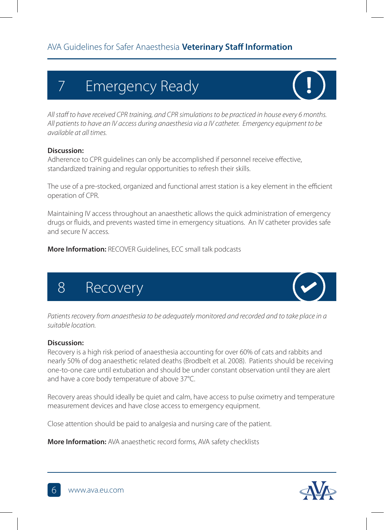# 7 Emergency Ready

*All staff to have received CPR training, and CPR simulations to be practiced in house every 6 months. All patients to have an IV access during anaesthesia via a IV catheter. Emergency equipment to be available at all times.*

#### **Discussion:**

Adherence to CPR guidelines can only be accomplished if personnel receive effective, standardized training and regular opportunities to refresh their skills.

The use of a pre-stocked, organized and functional arrest station is a key element in the efficient operation of CPR.

Maintaining IV access throughout an anaesthetic allows the quick administration of emergency drugs or fluids, and prevents wasted time in emergency situations. An IV catheter provides safe and secure IV access.

**More Information:** RECOVER Guidelines, ECC small talk podcasts





Patients recovery from anaesthesia to be adequately monitored and recorded and to take place in a *suitable location.*

#### **Discussion:**

Recovery is a high risk period of anaesthesia accounting for over 60% of cats and rabbits and nearly 50% of dog anaesthetic related deaths (Brodbelt et al. 2008). Patients should be receiving one-to-one care until extubation and should be under constant observation until they are alert and have a core body temperature of above 37°C.

Recovery areas should ideally be quiet and calm, have access to pulse oximetry and temperature measurement devices and have close access to emergency equipment.

Close attention should be paid to analgesia and nursing care of the patient.

**More Information:** AVA anaesthetic record forms, AVA safety checklists

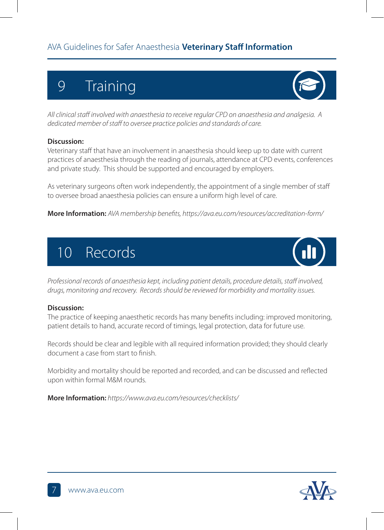## 9 Training

*All clinical staff involved with anaesthesia to receive regular CPD on anaesthesia and analgesia. A dedicated member of staff to oversee practice policies and standards of care.*

#### **Discussion:**

Veterinary staff that have an involvement in anaesthesia should keep up to date with current practices of anaesthesia through the reading of journals, attendance at CPD events, conferences and private study. This should be supported and encouraged by employers.

As veterinary surgeons often work independently, the appointment of a single member of staff to oversee broad anaesthesia policies can ensure a uniform high level of care.

**More Information:** *AVA membership benefits, https://ava.eu.com/resources/accreditation-form/*

# 10 Records

*Professional records of anaesthesia kept, including patient details, procedure details, staff involved, drugs, monitoring and recovery. Records should be reviewed for morbidity and mortality issues.*

#### **Discussion:**

The practice of keeping anaesthetic records has many benefits including: improved monitoring, patient details to hand, accurate record of timings, legal protection, data for future use.

Records should be clear and legible with all required information provided; they should clearly document a case from start to finish.

Morbidity and mortality should be reported and recorded, and can be discussed and reflected upon within formal M&M rounds.

**More Information:** *https://www.ava.eu.com/resources/checklists/*





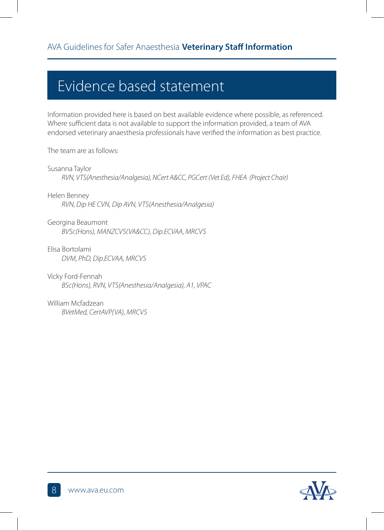### Evidence based statement

Information provided here is based on best available evidence where possible, as referenced. Where sufficient data is not available to support the information provided, a team of AVA endorsed veterinary anaesthesia professionals have verified the information as best practice.

The team are as follows:

Susanna Taylor *RVN, VTS(Anesthesia/Analgesia), NCert A&CC, PGCert (Vet Ed), FHEA (Project Chair)*

Helen Benney *RVN, Dip HE CVN, Dip AVN, VTS(Anesthesia/Analgesia)*

Georgina Beaumont *BVSc(Hons), MANZCVS(VA&CC), Dip.ECVAA, MRCVS*

Elisa Bortolami *DVM, PhD, Dip.ECVAA, MRCVS*

Vicky Ford-Fennah *BSc(Hons), RVN, VTS(Anesthesia/Analgesia), A1, VPAC*

William Mcfadzean *BVetMed, CertAVP(VA), MRCVS*